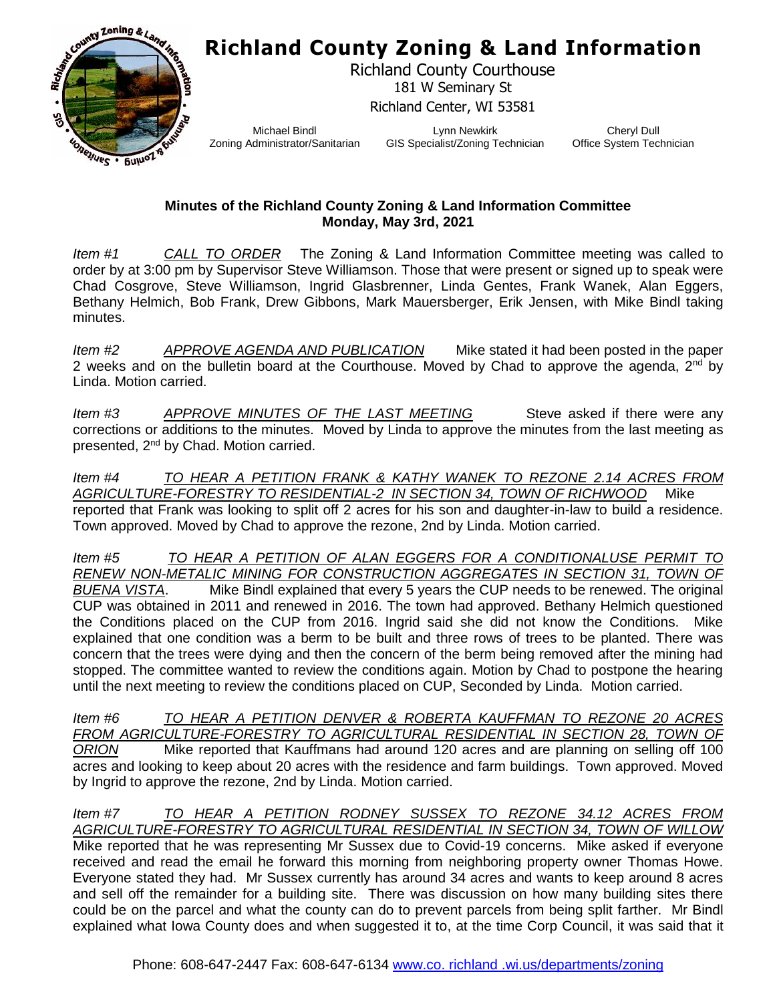## **Richland County Zoning & Land Information**



Richland County Courthouse 181 W Seminary St Richland Center, WI 53581

Michael Bindl Zoning Administrator/Sanitarian

Lynn Newkirk GIS Specialist/Zoning Technician

Cheryl Dull Office System Technician

## **Minutes of the Richland County Zoning & Land Information Committee Monday, May 3rd, 2021**

*Item #1 CALL TO ORDER* The Zoning & Land Information Committee meeting was called to order by at 3:00 pm by Supervisor Steve Williamson. Those that were present or signed up to speak were Chad Cosgrove, Steve Williamson, Ingrid Glasbrenner, Linda Gentes, Frank Wanek, Alan Eggers, Bethany Helmich, Bob Frank, Drew Gibbons, Mark Mauersberger, Erik Jensen, with Mike Bindl taking minutes.

*Item #2 APPROVE AGENDA AND PUBLICATION* Mike stated it had been posted in the paper 2 weeks and on the bulletin board at the Courthouse. Moved by Chad to approve the agenda,  $2^{nd}$  by Linda. Motion carried.

*Item #3* APPROVE MINUTES OF THE LAST MEETING Steve asked if there were any corrections or additions to the minutes. Moved by Linda to approve the minutes from the last meeting as presented, 2nd by Chad. Motion carried.

*Item #4 TO HEAR A PETITION FRANK & KATHY WANEK TO REZONE 2.14 ACRES FROM AGRICULTURE-FORESTRY TO RESIDENTIAL-2 IN SECTION 34, TOWN OF RICHWOOD* Mike reported that Frank was looking to split off 2 acres for his son and daughter-in-law to build a residence. Town approved. Moved by Chad to approve the rezone, 2nd by Linda. Motion carried.

*Item #5 TO HEAR A PETITION OF ALAN EGGERS FOR A CONDITIONALUSE PERMIT TO RENEW NON-METALIC MINING FOR CONSTRUCTION AGGREGATES IN SECTION 31, TOWN OF BUENA VISTA*. Mike Bindl explained that every 5 years the CUP needs to be renewed. The original CUP was obtained in 2011 and renewed in 2016. The town had approved. Bethany Helmich questioned the Conditions placed on the CUP from 2016. Ingrid said she did not know the Conditions. Mike explained that one condition was a berm to be built and three rows of trees to be planted. There was concern that the trees were dying and then the concern of the berm being removed after the mining had stopped. The committee wanted to review the conditions again. Motion by Chad to postpone the hearing until the next meeting to review the conditions placed on CUP, Seconded by Linda. Motion carried.

*Item #6 TO HEAR A PETITION DENVER & ROBERTA KAUFFMAN TO REZONE 20 ACRES FROM AGRICULTURE-FORESTRY TO AGRICULTURAL RESIDENTIAL IN SECTION 28, TOWN OF ORION* Mike reported that Kauffmans had around 120 acres and are planning on selling off 100 acres and looking to keep about 20 acres with the residence and farm buildings. Town approved. Moved by Ingrid to approve the rezone, 2nd by Linda. Motion carried.

*Item #7 TO HEAR A PETITION RODNEY SUSSEX TO REZONE 34.12 ACRES FROM AGRICULTURE-FORESTRY TO AGRICULTURAL RESIDENTIAL IN SECTION 34, TOWN OF WILLOW* Mike reported that he was representing Mr Sussex due to Covid-19 concerns. Mike asked if everyone received and read the email he forward this morning from neighboring property owner Thomas Howe. Everyone stated they had. Mr Sussex currently has around 34 acres and wants to keep around 8 acres and sell off the remainder for a building site. There was discussion on how many building sites there could be on the parcel and what the county can do to prevent parcels from being split farther. Mr Bindl explained what Iowa County does and when suggested it to, at the time Corp Council, it was said that it